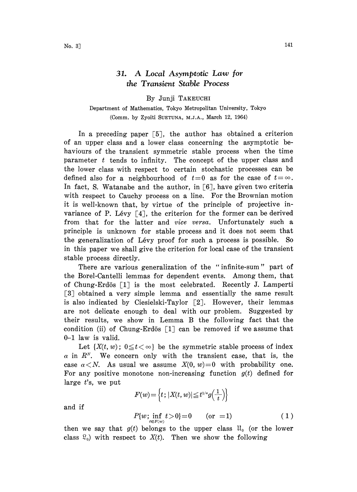## 31. A Local Asymptotic Law for the Transient Stable Process

## By Junji TAKEUCHI

## Department of Mathematics, Tokyo Metropolitan University, Tokyo (Comm. by Zyoiti SUETUNA, M.J.A., March 12, 1964)

In a preceding paper  $\lceil 5 \rceil$ , the author has obtained a criterion of an upper class and a lower class concerning the asymptotic behaviours of the transient symmetric stable process when the time parameter  $t$  tends to infinity. The concept of the upper class and the lower class with respect to certain stochastic processes can be defined also for a neighbourhood of  $t=0$  as for the case of  $t=\infty$ . In fact, S. Watanabe and the author, in  $\lceil 6 \rceil$ , have given two criteria with respect to Cauchy process on a line. For the Brownian motion it is well-known that, by virtue of the principle of projective invariance of P. Lévy  $\lceil 4 \rceil$ , the criterion for the former can be derived from that for the latter and vice versa. Unfortunately such a principle is unknown for stable process and it does not seem that the generalization of Lévy proof for such a process is possible. So in this paper we shall give the criterion for local case of the transient stable process directly.

There are various generalization of the "infinite-sum" part of the Borel-Cantelli lemmas for dependent events. Among them, that of Chung-Erdös  $\lceil 1 \rceil$  is the most celebrated. Recently J. Lamperti [3] obtained a very simple lemma and essentially the same result is also indicated by Ciesielski-Taylor  $\lceil 2 \rceil$ . However, their lemmas are not delicate enough to deal with our problem. Suggested by their results, we show in Lemma B the following fact that the condition (ii) of Chung-Erdös  $\lceil 1 \rceil$  can be removed if we assume that 0-1 law is valid.

Let  $\{X(t, w); 0 \le t < \infty\}$  be the symmetric stable process of index  $\alpha$  in  $R^N$ . We concern only with the transient case, that is, the case  $\alpha < N$ . As usual we assume  $X(0, w) = 0$  with probability one. For any positive monotone non-increasing function  $g(t)$  defined for large  $t$ 's, we put

 $F(w) \!=\! \Big\{ \!t \! \, ; \! \, |X\!(t,w)| \!\leq\! t^{\scriptscriptstyle 1 \! \times \! \! \cdot} \! g\!\left(\!\frac{1}{t}\right) \!\! \Big\}$ 

and if

$$
P\{w; \inf_{t \in F(w)} t > 0\} = 0 \qquad \text{(or} \ = 1\text{)}\tag{1}
$$

then we say that  $g(t)$  belongs to the upper class  $\mathfrak{U}_0$  (or the lower class  $\mathcal{R}_0$ ) with respect to  $X(t)$ . Then we show the following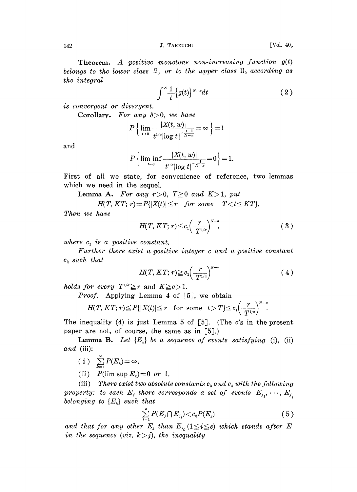142 **J. TAKEUCHI** [Vol. 40,

**Theorem.** A positive monotone non-increasing function  $g(t)$ belongs to the lower class  $\mathfrak{L}_{0}$  or to the upper class  $\mathfrak{U}_{0}$  according as the integral

$$
\int_{0}^{\infty} \frac{1}{t} \left\{ g(t) \right\}^{N-a} dt \tag{2}
$$

is convergent or divergent.

Corollary. For any  $\delta > 0$ , we have

$$
P\left\{\lim\limits_{t\to 0}\frac{|X(t,w)|}{t^{1/a}|\log t|^{-\frac{1+\delta}{N-a}}}=\infty\right\}\!=\!1
$$

and

$$
P\left\{\liminf_{t\to 0}\frac{|X(t,\,w)|}{t^{1/\alpha}|\!\log t|^{\frac{1}{N-\alpha}}}\!=\!0\right\}\!=\!1.
$$

First of all we state, for convenience of reference, two lemmas which we need in the sequel.

Lemma A. For any  $r > 0$ ,  $T \ge 0$  and  $K > 1$ , put

 $H(T, KT; r) = P\{ |X(t)| \le r \quad for \; some \quad T < t \le KT \}.$ 

Then we have

$$
H(T, KT; r) \leq c_1 \left(\frac{r}{T^{1/\alpha}}\right)^{N-\alpha}, \tag{3}
$$

where  $c_1$  is a positive constant.

Further there exist a positive integer <sup>c</sup> and a positive constant  $c<sub>2</sub>$  such that

$$
H(T, KT; r) \geq c_2 \left(\frac{r}{T^{1/\alpha}}\right)^{N-\alpha} \tag{4}
$$

holds for every  $T^{1/\alpha} \geq r$  and  $K \geq c > 1$ .

*Proof.* Applying Lemma 4 of  $\lceil 5 \rceil$ , we obtain

$$
H(T, KT; r) \leq P\{|X(t)| \leq r \text{ for some } t > T\} \leq c_1 \left(\frac{r}{T^{1/\alpha}}\right)^{N-\alpha}
$$

The inequality (4) is just Lemma 5 of  $[5]$ . (The c's in the present paper are not, of course, the same as in  $\lceil 5 \rceil$ .)

**Lemma B.** Let  $\{E_k\}$  be a sequence of events satisfying (i), (ii) and (iii):

$$
(i) \quad \sum_{k=1}^{\infty} P(E_k) = \infty.
$$

(ii)  $P(\limsup E_k)=0$  or 1.

(iii) There exist two absolute constants  $c_3$  and  $c_4$  with the following property: to each  $E_j$  there corresponds a set of events  $E_{j_1},\cdots,E_{j_k}$ belonging to  ${E<sub>k</sub>}$  such that

$$
\sum_{i=1}^{s} P(E_j \cap E_{j_i}) \! < \! c_3 P(E_j) \tag{5}
$$

and that for any other  $E_k$  than  $E_{j_i}$  ( $1 \leq i \leq s$ ) which stands after E in the sequence (viz.  $k > j$ ), the inequality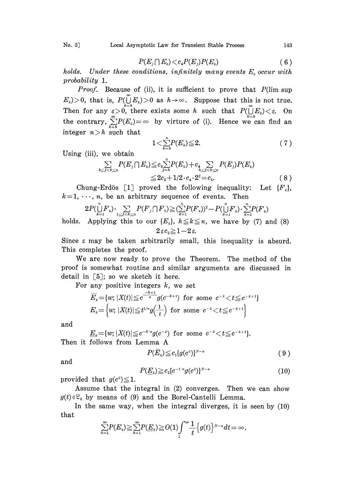$$
P(E_j \cap E_k) \lt c_4 P(E_j) P(E_k) \tag{6}
$$

holds. Under these conditions, infinitely many events  $E_k$  occur with probability 1.

Proof. Because of (ii), it is sufficient to prove that  $P(\limsup$  $E_k$ ) > 0, that is,  $P(\bigcup_{k=1}^{\infty} E_k)$  > 0 as  $h \to \infty$ . Suppose that this is not true. Then for any  $\varepsilon \! > \! 0$ , there exists some  $h$  such that  $P(\bigcup E_k) \! < \! \varepsilon$ . On the contrary,  $\sum_{k=1}^{\infty} P(E_k) = \infty$  by virture of (i). Hence we can find an integer  $n>h$  such that

$$
1<\sum_{k=h}^{n}P(E_{k})\leqq2.\hspace{1.5cm} (7)
$$

Using (iii), we obtain

$$
\sum_{h \leq j < k \leq n} P(E_j \cap E_k) \leq c_3 \sum_{j=h}^n P(E_k) + c_4 \sum_{h \leq j < k \leq n} P(E_j) P(E_k) \\ \leq 2c_3 + 1/2 \cdot c_4 \cdot 2^2 = c_5. \tag{8}
$$

Chung-Erdös [1] proved the following inequality: Let  ${F_k}$ ,  $k=1, \dots, n$ , be an arbitrary sequence of events. Then

$$
2P(\bigcup_{k=1}^{n} F_k) \cdot \sum_{1 \leq j < k \leq n} P(F_j \cap F_k) \geq (\sum_{k=1}^{n} P(F_k))^2 - P(\bigcup_{k=1}^{n} F_k) \cdot \sum_{k=1}^{n} P(F_k)
$$
 holds. Applying this to our  $\{E_k\}$ ,  $h \leq k \leq n$ , we have by (7) and (8)  $2 \varepsilon c_5 \geq 1 - 2 \varepsilon$ .

Since  $\varepsilon$  may be taken arbitrarily small, this inequality is absurd. This completes the proof.

We are now ready to prove the Theorem. The method of the proof is somewhat routine and similar arguments are discussed in detail in  $\lceil 5 \rceil$ ; so we sketch it here.

For any positive integers  $k$ , we set

$$
\overline{E}_k = \{w; |X(t)| \leq c^{\frac{-k+1}{\alpha}} g(c^{-k+1}) \text{ for some } c^{-k} < t \leq c^{-k+1}\}
$$
  

$$
E_k = \left\{w; |X(t)| \leq t^{1/\alpha} g\left(\frac{1}{t}\right) \text{ for some } c^{-k} < t \leq c^{-k+1}\right\}
$$

and

$$
\underline{E}_k = \{w; |X(t)| \leq e^{-k/\alpha} g(e^{-k}) \text{ for some } e^{-k} < t \leq e^{-k+1} \}.
$$
  
Then it follows from Lemma A

$$
P(\bar{E}_k) \leqq c_1 \{g(c^k)\}^{N-\alpha} \tag{9}
$$

and

$$
P(\underline{E}_k) \geq c_2 \{c^{-1/\alpha} g(c^k)\}^{N-\alpha} \tag{10}
$$

provided that  $g(c^k) \leq 1$ .

Assume that the integral in (2) converges. Then we can show  $g(t) \in \mathcal{Q}_0$  by means of (9) and the Borel-Cantelli Lemma.

In the same way, when the integral diverges, it is seen by (10) that

$$
\sum_{k=1}^{\infty} P(E_k) \geq \sum_{k=1}^{\infty} P(E_k) \geq O(1) \int_{1}^{\infty} \frac{1}{t} \left\{ g(t) \right\}^{N-\alpha} dt = \infty.
$$